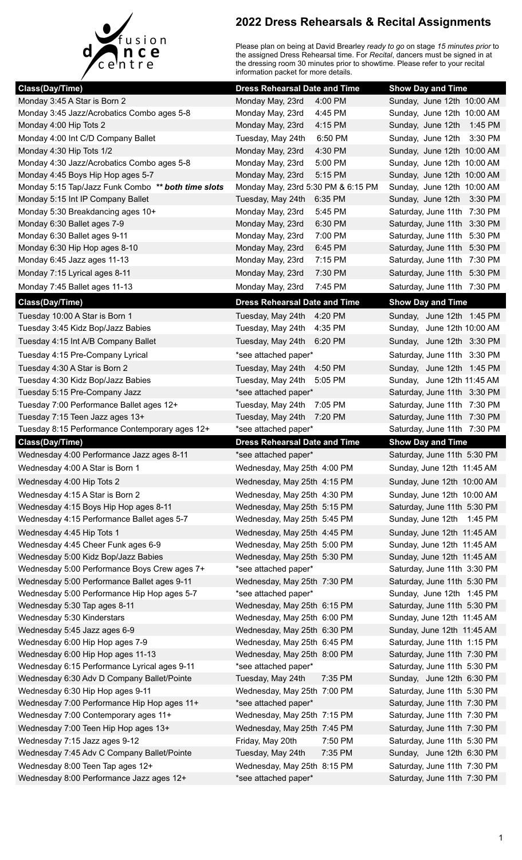

## **2022 Dress Rehearsals & Recital Assignments**

Please plan on being at David Brearley *ready to go* on stage *15 minutes prior* to the assigned Dress Rehearsal time. For *Recital*, dancers must be signed in at the dressing room 30 minutes prior to showtime. Please refer to your recital information packet for more details.

| Class(Day/Time)                                              | <b>Dress Rehearsal Date and Time</b>                         | <b>Show Day and Time</b>                                 |
|--------------------------------------------------------------|--------------------------------------------------------------|----------------------------------------------------------|
| Monday 3:45 A Star is Born 2                                 | 4:00 PM<br>Monday May, 23rd                                  | Sunday, June 12th 10:00 AM                               |
| Monday 3:45 Jazz/Acrobatics Combo ages 5-8                   | 4:45 PM<br>Monday May, 23rd                                  | Sunday, June 12th 10:00 AM                               |
| Monday 4:00 Hip Tots 2                                       | Monday May, 23rd<br>4:15 PM                                  | Sunday, June 12th 1:45 PM                                |
| Monday 4:00 Int C/D Company Ballet                           | Tuesday, May 24th<br>6:50 PM                                 | Sunday, June 12th 3:30 PM                                |
| Monday 4:30 Hip Tots 1/2                                     | Monday May, 23rd<br>4:30 PM                                  | Sunday, June 12th 10:00 AM                               |
| Monday 4:30 Jazz/Acrobatics Combo ages 5-8                   | Monday May, 23rd<br>5:00 PM                                  | Sunday, June 12th 10:00 AM                               |
| Monday 4:45 Boys Hip Hop ages 5-7                            | Monday May, 23rd<br>5:15 PM                                  | Sunday, June 12th 10:00 AM                               |
| Monday 5:15 Tap/Jazz Funk Combo ** both time slots           | Monday May, 23rd 5:30 PM & 6:15 PM                           | Sunday, June 12th 10:00 AM                               |
| Monday 5:15 Int IP Company Ballet                            | Tuesday, May 24th<br>6:35 PM                                 | Sunday, June 12th 3:30 PM                                |
| Monday 5:30 Breakdancing ages 10+                            | Monday May, 23rd<br>5:45 PM                                  | Saturday, June 11th 7:30 PM                              |
| Monday 6:30 Ballet ages 7-9                                  | 6:30 PM<br>Monday May, 23rd                                  | Saturday, June 11th 3:30 PM                              |
| Monday 6:30 Ballet ages 9-11                                 | Monday May, 23rd<br>7:00 PM                                  | Saturday, June 11th 5:30 PM                              |
| Monday 6:30 Hip Hop ages 8-10                                | 6:45 PM<br>Monday May, 23rd                                  | Saturday, June 11th 5:30 PM                              |
| Monday 6:45 Jazz ages 11-13                                  | 7:15 PM<br>Monday May, 23rd                                  | Saturday, June 11th 7:30 PM                              |
| Monday 7:15 Lyrical ages 8-11                                | Monday May, 23rd<br>7:30 PM                                  | Saturday, June 11th 5:30 PM                              |
| Monday 7:45 Ballet ages 11-13                                | 7:45 PM<br>Monday May, 23rd                                  | Saturday, June 11th 7:30 PM                              |
| <b>Class(Day/Time)</b>                                       | <b>Dress Rehearsal Date and Time</b>                         | <b>Show Day and Time</b>                                 |
| Tuesday 10:00 A Star is Born 1                               | Tuesday, May 24th 4:20 PM                                    | Sunday, June 12th 1:45 PM                                |
| Tuesday 3:45 Kidz Bop/Jazz Babies                            | Tuesday, May 24th<br>4:35 PM                                 | Sunday, June 12th 10:00 AM                               |
| Tuesday 4:15 Int A/B Company Ballet                          | Tuesday, May 24th 6:20 PM                                    | Sunday, June 12th 3:30 PM                                |
| Tuesday 4:15 Pre-Company Lyrical                             | *see attached paper*                                         | Saturday, June 11th 3:30 PM                              |
| Tuesday 4:30 A Star is Born 2                                | Tuesday, May 24th<br>4:50 PM                                 | Sunday, June 12th 1:45 PM                                |
| Tuesday 4:30 Kidz Bop/Jazz Babies                            | Tuesday, May 24th<br>5:05 PM                                 | Sunday, June 12th 11:45 AM                               |
| Tuesday 5:15 Pre-Company Jazz                                | *see attached paper*                                         | Saturday, June 11th 3:30 PM                              |
| Tuesday 7:00 Performance Ballet ages 12+                     | Tuesday, May 24th<br>7:05 PM                                 | Saturday, June 11th 7:30 PM                              |
| Tuesday 7:15 Teen Jazz ages 13+                              | Tuesday, May 24th<br>7:20 PM                                 | Saturday, June 11th 7:30 PM                              |
| Tuesday 8:15 Performance Contemporary ages 12+               | *see attached paper*                                         | Saturday, June 11th 7:30 PM                              |
|                                                              |                                                              |                                                          |
|                                                              |                                                              |                                                          |
| Class(Day/Time)<br>Wednesday 4:00 Performance Jazz ages 8-11 | <b>Dress Rehearsal Date and Time</b><br>*see attached paper* | <b>Show Day and Time</b><br>Saturday, June 11th 5:30 PM  |
|                                                              |                                                              | Sunday, June 12th 11:45 AM                               |
| Wednesday 4:00 A Star is Born 1<br>Wednesday 4:00 Hip Tots 2 | Wednesday, May 25th 4:00 PM                                  | Sunday, June 12th 10:00 AM                               |
|                                                              | Wednesday, May 25th 4:15 PM                                  |                                                          |
| Wednesday 4:15 A Star is Born 2                              | Wednesday, May 25th 4:30 PM                                  | Sunday, June 12th 10:00 AM                               |
| Wednesday 4:15 Boys Hip Hop ages 8-11                        | Wednesday, May 25th 5:15 PM                                  | Saturday, June 11th 5:30 PM                              |
| Wednesday 4:15 Performance Ballet ages 5-7                   | Wednesday, May 25th 5:45 PM                                  | Sunday, June 12th 1:45 PM                                |
| Wednesday 4:45 Hip Tots 1                                    | Wednesday, May 25th 4:45 PM                                  | Sunday, June 12th 11:45 AM                               |
| Wednesday 4:45 Cheer Funk ages 6-9                           | Wednesday, May 25th 5:00 PM                                  | Sunday, June 12th 11:45 AM                               |
| Wednesday 5:00 Kidz Bop/Jazz Babies                          | Wednesday, May 25th 5:30 PM                                  | Sunday, June 12th 11:45 AM                               |
| Wednesday 5:00 Performance Boys Crew ages 7+                 | *see attached paper*                                         | Saturday, June 11th 3:30 PM                              |
| Wednesday 5:00 Performance Ballet ages 9-11                  | Wednesday, May 25th 7:30 PM                                  | Saturday, June 11th 5:30 PM                              |
| Wednesday 5:00 Performance Hip Hop ages 5-7                  | *see attached paper*                                         | Sunday, June 12th 1:45 PM                                |
| Wednesday 5:30 Tap ages 8-11                                 | Wednesday, May 25th 6:15 PM                                  | Saturday, June 11th 5:30 PM                              |
| Wednesday 5:30 Kinderstars<br>Wednesday 5:45 Jazz ages 6-9   | Wednesday, May 25th 6:00 PM<br>Wednesday, May 25th 6:30 PM   | Sunday, June 12th 11:45 AM<br>Sunday, June 12th 11:45 AM |
| Wednesday 6:00 Hip Hop ages 7-9                              |                                                              | Saturday, June 11th 1:15 PM                              |
| Wednesday 6:00 Hip Hop ages 11-13                            | Wednesday, May 25th 6:45 PM<br>Wednesday, May 25th 8:00 PM   | Saturday, June 11th 7:30 PM                              |
| Wednesday 6:15 Performance Lyrical ages 9-11                 | *see attached paper*                                         | Saturday, June 11th 5:30 PM                              |
| Wednesday 6:30 Adv D Company Ballet/Pointe                   | Tuesday, May 24th<br>7:35 PM                                 | Sunday, June 12th 6:30 PM                                |
| Wednesday 6:30 Hip Hop ages 9-11                             | Wednesday, May 25th 7:00 PM                                  | Saturday, June 11th 5:30 PM                              |
| Wednesday 7:00 Performance Hip Hop ages 11+                  | *see attached paper*                                         | Saturday, June 11th 7:30 PM                              |
| Wednesday 7:00 Contemporary ages 11+                         | Wednesday, May 25th 7:15 PM                                  | Saturday, June 11th 7:30 PM                              |
| Wednesday 7:00 Teen Hip Hop ages 13+                         | Wednesday, May 25th 7:45 PM                                  | Saturday, June 11th 7:30 PM                              |
| Wednesday 7:15 Jazz ages 9-12                                | Friday, May 20th<br>7:50 PM                                  | Saturday, June 11th 5:30 PM                              |
| Wednesday 7:45 Adv C Company Ballet/Pointe                   | Tuesday, May 24th<br>7:35 PM                                 | Sunday, June 12th 6:30 PM                                |
| Wednesday 8:00 Teen Tap ages 12+                             | Wednesday, May 25th 8:15 PM                                  | Saturday, June 11th 7:30 PM                              |